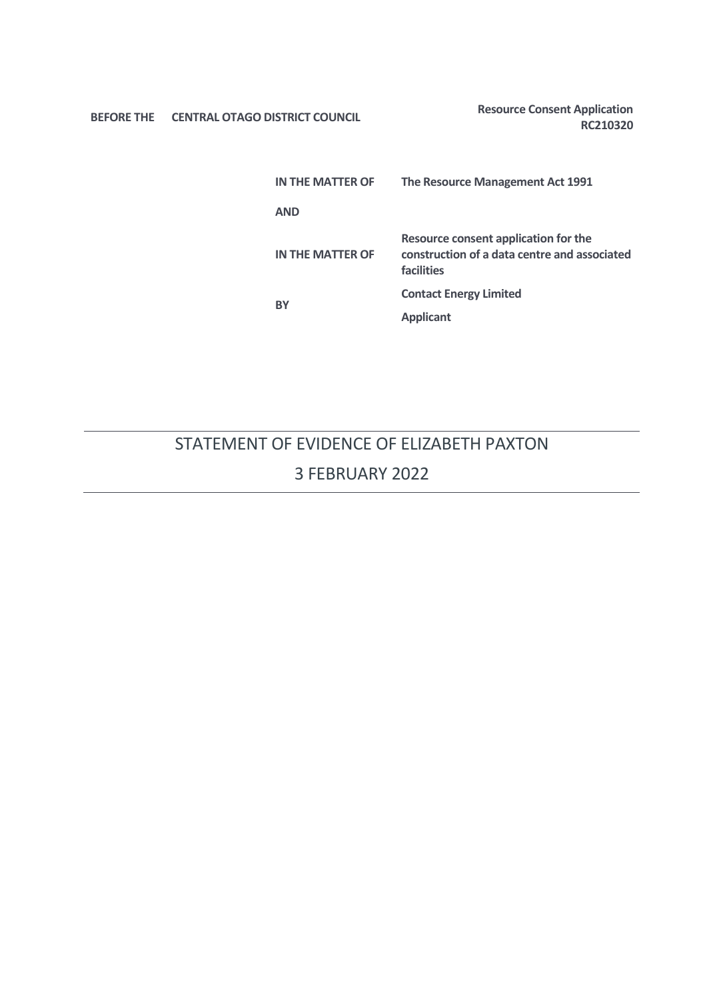**BEFORE THE** CENTRAL OTAGO DISTRICT COUNCIL **Resource Consent Application** 

**RC210320**

| IN THE MATTER OF | The Resource Management Act 1991                                                                   |
|------------------|----------------------------------------------------------------------------------------------------|
| <b>AND</b>       |                                                                                                    |
| IN THE MATTER OF | Resource consent application for the<br>construction of a data centre and associated<br>facilities |
| <b>BY</b>        | <b>Contact Energy Limited</b>                                                                      |
|                  | <b>Applicant</b>                                                                                   |

# STATEMENT OF EVIDENCE OF ELIZABETH PAXTON 3 FEBRUARY 2022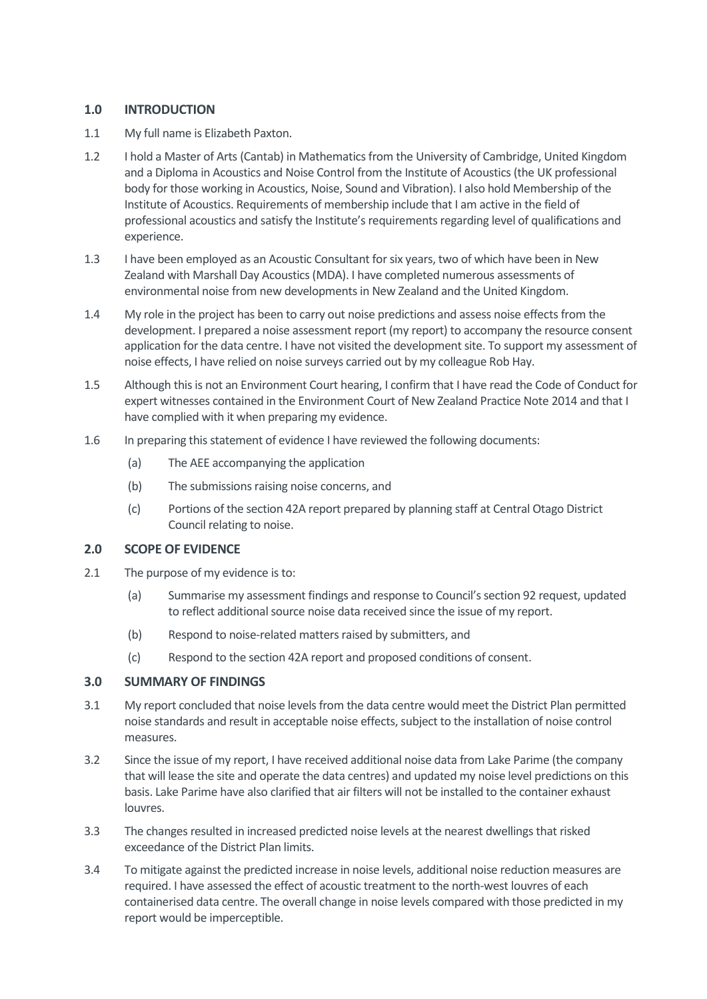# **1.0 INTRODUCTION**

- 1.1 My full name is Elizabeth Paxton.
- 1.2 I hold a Master of Arts (Cantab) in Mathematics from the University of Cambridge, United Kingdom and a Diploma in Acoustics and Noise Control from the Institute of Acoustics (the UK professional body for those working in Acoustics, Noise, Sound and Vibration). I also hold Membership of the Institute of Acoustics. Requirements of membership include that I am active in the field of professional acoustics and satisfy the Institute's requirements regarding level of qualifications and experience.
- 1.3 I have been employed as an Acoustic Consultant for six years, two of which have been in New Zealand with Marshall Day Acoustics (MDA). I have completed numerous assessments of environmental noise from new developments in New Zealand and the United Kingdom.
- 1.4 My role in the project has been to carry out noise predictions and assess noise effects from the development. I prepared a noise assessment report (my report) to accompany the resource consent application for the data centre. I have not visited the development site. To support my assessment of noise effects, I have relied on noise surveys carried out by my colleague Rob Hay.
- 1.5 Although this is not an Environment Court hearing, I confirm that I have read the Code of Conduct for expert witnesses contained in the Environment Court of New Zealand Practice Note 2014 and that I have complied with it when preparing my evidence.
- 1.6 In preparing this statement of evidence I have reviewed the following documents:
	- (a) The AEE accompanying the application
	- (b) The submissions raising noise concerns, and
	- (c) Portions of the section 42A report prepared by planning staff at Central Otago District Council relating to noise.

# **2.0 SCOPE OF EVIDENCE**

- 2.1 The purpose of my evidence is to:
	- (a) Summarise my assessment findings and response to Council's section 92 request, updated to reflect additional source noise data received since the issue of my report.
	- (b) Respond to noise-related matters raised by submitters, and
	- (c) Respond to the section 42A report and proposed conditions of consent.

# **3.0 SUMMARY OF FINDINGS**

- 3.1 My report concluded that noise levels from the data centre would meet the District Plan permitted noise standards and result in acceptable noise effects, subject to the installation of noise control measures.
- 3.2 Since the issue of my report, I have received additional noise data from Lake Parime (the company that will lease the site and operate the data centres) and updated my noise level predictions on this basis. Lake Parime have also clarified that air filters will not be installed to the container exhaust louvres.
- 3.3 The changes resulted in increased predicted noise levels at the nearest dwellings that risked exceedance of the District Plan limits.
- 3.4 To mitigate against the predicted increase in noise levels, additional noise reduction measures are required. I have assessed the effect of acoustic treatment to the north-west louvres of each containerised data centre. The overall change in noise levels compared with those predicted in my report would be imperceptible.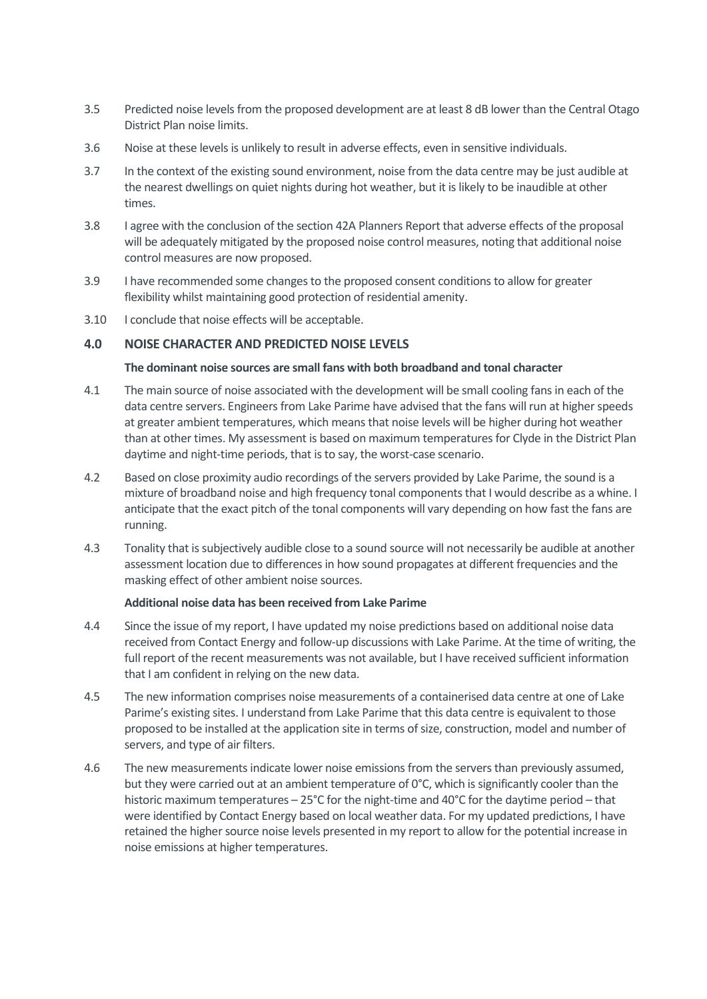- 3.5 Predicted noise levels from the proposed development are at least 8 dB lower than the Central Otago District Plan noise limits.
- 3.6 Noise at these levels is unlikely to result in adverse effects, even in sensitive individuals.
- 3.7 In the context of the existing sound environment, noise from the data centre may be just audible at the nearest dwellings on quiet nights during hot weather, but it is likely to be inaudible at other times.
- 3.8 I agree with the conclusion of the section 42A Planners Report that adverse effects of the proposal will be adequately mitigated by the proposed noise control measures, noting that additional noise control measures are now proposed.
- 3.9 I have recommended some changes to the proposed consent conditions to allow for greater flexibility whilst maintaining good protection of residential amenity.
- 3.10 I conclude that noise effects will be acceptable.

# **4.0 NOISE CHARACTER AND PREDICTED NOISE LEVELS**

## **The dominant noise sources are small fans with both broadband and tonal character**

- 4.1 The main source of noise associated with the development will be small cooling fans in each of the data centre servers. Engineers from Lake Parime have advised that the fans will run at higher speeds at greater ambient temperatures, which means that noise levels will be higher during hot weather than at other times. My assessment is based on maximum temperatures for Clyde in the District Plan daytime and night-time periods, that is to say, the worst-case scenario.
- 4.2 Based on close proximity audio recordings of the servers provided by Lake Parime, the sound is a mixture of broadband noise and high frequency tonal components that I would describe as a whine. I anticipate that the exact pitch of the tonal components will vary depending on how fast the fans are running.
- 4.3 Tonality that is subjectively audible close to a sound source will not necessarily be audible at another assessment location due to differences in how sound propagates at different frequencies and the masking effect of other ambient noise sources.

## **Additional noise data has been received from Lake Parime**

- 4.4 Since the issue of my report, I have updated my noise predictions based on additional noise data received from Contact Energy and follow-up discussions with Lake Parime. At the time of writing, the full report of the recent measurements was not available, but I have received sufficient information that I am confident in relying on the new data.
- 4.5 The new information comprises noise measurements of a containerised data centre at one of Lake Parime's existing sites. I understand from Lake Parime that this data centre is equivalent to those proposed to be installed at the application site in terms of size, construction, model and number of servers, and type of air filters.
- 4.6 The new measurements indicate lower noise emissions from the servers than previously assumed, but they were carried out at an ambient temperature of 0°C, which is significantly cooler than the historic maximum temperatures – 25°C for the night-time and 40°C for the daytime period – that were identified by Contact Energy based on local weather data. For my updated predictions, I have retained the higher source noise levels presented in my report to allow for the potential increase in noise emissions at higher temperatures.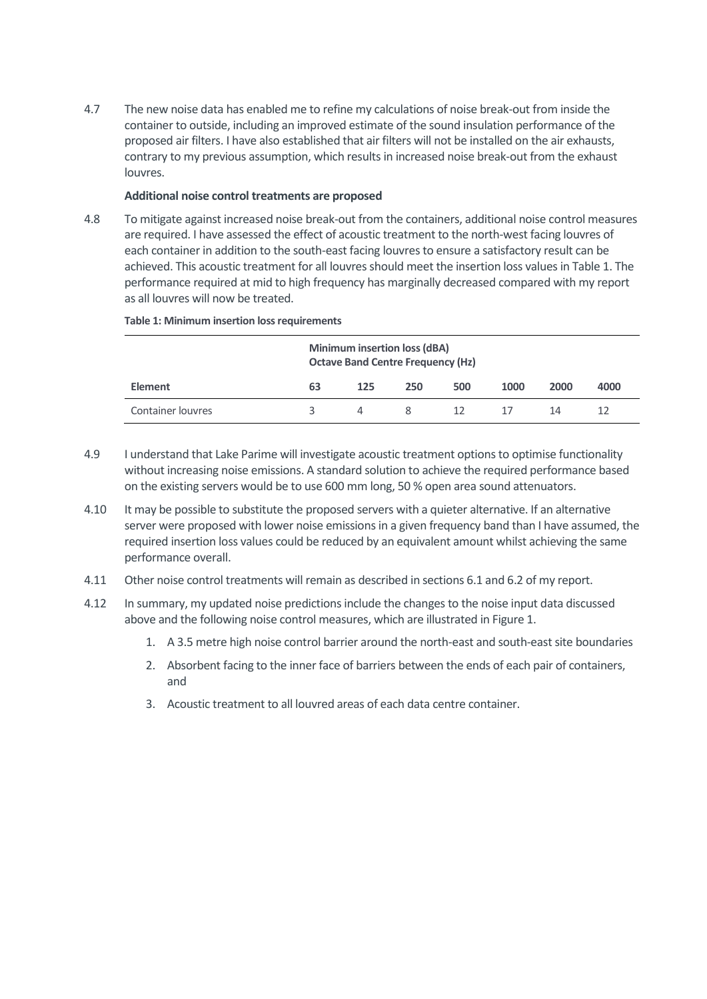4.7 The new noise data has enabled me to refine my calculations of noise break-out from inside the container to outside, including an improved estimate of the sound insulation performance of the proposed air filters. I have also established that air filters will not be installed on the air exhausts, contrary to my previous assumption, which results in increased noise break-out from the exhaust louvres.

## **Additional noise control treatments are proposed**

4.8 To mitigate against increased noise break-out from the containers, additional noise control measures are required. I have assessed the effect of acoustic treatment to the north-west facing louvres of each container in addition to the south-east facing louvresto ensure a satisfactory result can be achieved. This acoustic treatment for all louvres should meet the insertion loss values in Table 1. The performance required at mid to high frequency has marginally decreased compared with my report as all louvres will now be treated.

|                          | <b>Minimum insertion loss (dBA)</b><br><b>Octave Band Centre Frequency (Hz)</b> |     |     |     |      |      |      |  |
|--------------------------|---------------------------------------------------------------------------------|-----|-----|-----|------|------|------|--|
| <b>Element</b>           | 63                                                                              | 125 | 250 | 500 | 1000 | 2000 | 4000 |  |
| <b>Container louvres</b> | ₹                                                                               | 4   | 8   | 12. | -17  | 14   | 12   |  |

#### <span id="page-3-0"></span>**Table 1: Minimum insertion loss requirements**

- 4.9 I understand that Lake Parime will investigate acoustic treatment options to optimise functionality without increasing noise emissions. A standard solution to achieve the required performance based on the existing servers would be to use 600 mm long, 50 % open area sound attenuators.
- 4.10 It may be possible to substitute the proposed servers with a quieter alternative. If an alternative server were proposed with lower noise emissions in a given frequency band than I have assumed, the required insertion loss values could be reduced by an equivalent amount whilst achieving the same performance overall.
- 4.11 Other noise control treatments will remain as described in sections 6.1 and 6.2 of my report.
- 4.12 In summary, my updated noise predictions include the changes to the noise input data discussed above and the following noise control measures, which are illustrated in Figure 1.
	- 1. A 3.5 metre high noise control barrier around the north-east and south-east site boundaries
	- 2. Absorbent facing to the inner face of barriers between the ends of each pair of containers, and
	- 3. Acoustic treatment to all louvred areas of each data centre container.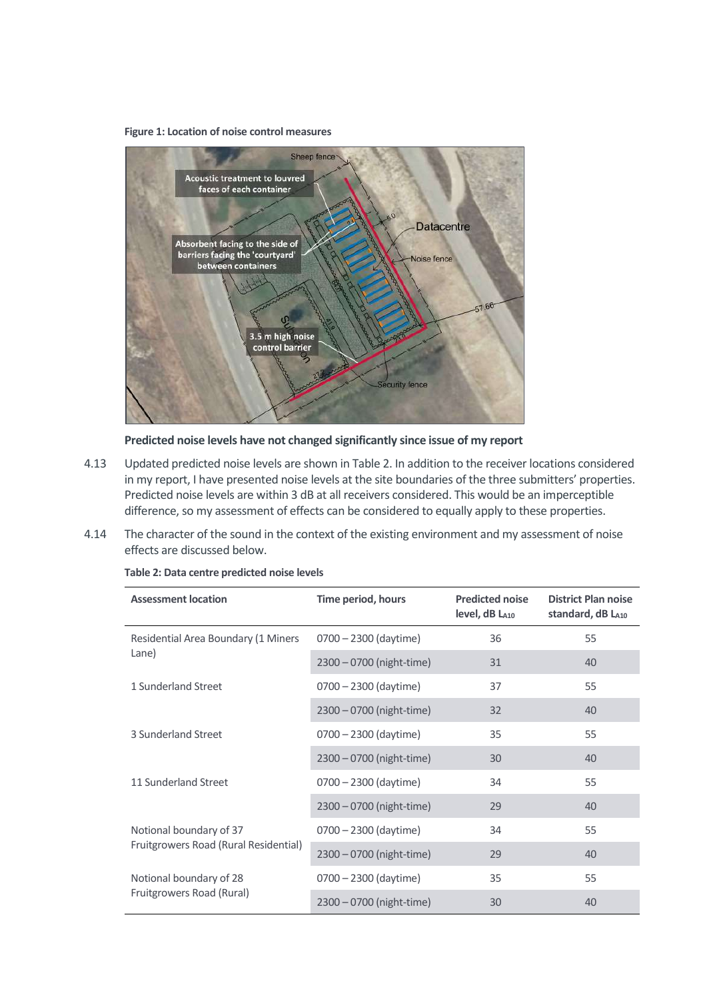#### **Figure 1: Location of noise control measures**



**Predicted noise levels have not changed significantly since issue of my report**

- 4.13 Updated predicted noise levels are shown in Table 2. In addition to the receiver locations considered in my report, I have presented noise levels at the site boundaries of the three submitters' properties. Predicted noise levels are within 3 dB at all receivers considered. This would be an imperceptible difference, so my assessment of effects can be considered to equally apply to these properties.
- 4.14 The character of the sound in the context of the existing environment and my assessment of noise effects are discussed below.

| <b>Assessment location</b>                                       | Time period, hours       | <b>Predicted noise</b><br>level, dB LA10 | <b>District Plan noise</b><br>standard, dB LA10 |
|------------------------------------------------------------------|--------------------------|------------------------------------------|-------------------------------------------------|
| Residential Area Boundary (1 Miners<br>Lane)                     | $0700 - 2300$ (daytime)  | 36                                       | 55                                              |
|                                                                  | 2300 - 0700 (night-time) | 31                                       | 40                                              |
| 1 Sunderland Street                                              | 0700 - 2300 (daytime)    | 37                                       | 55                                              |
|                                                                  | 2300 - 0700 (night-time) | 32                                       | 40                                              |
| 3 Sunderland Street                                              | 0700 - 2300 (daytime)    | 35                                       | 55                                              |
|                                                                  | 2300 - 0700 (night-time) | 30                                       | 40                                              |
| 11 Sunderland Street                                             | 0700 - 2300 (daytime)    | 34                                       | 55                                              |
|                                                                  | 2300 - 0700 (night-time) | 29                                       | 40                                              |
| Notional boundary of 37<br>Fruitgrowers Road (Rural Residential) | 0700 - 2300 (daytime)    | 34                                       | 55                                              |
|                                                                  | 2300 - 0700 (night-time) | 29                                       | 40                                              |
| Notional boundary of 28<br>Fruitgrowers Road (Rural)             | 0700 - 2300 (daytime)    | 35                                       | 55                                              |
|                                                                  | 2300 - 0700 (night-time) | 30                                       | 40                                              |

**Table 2: Data centre predicted noise levels**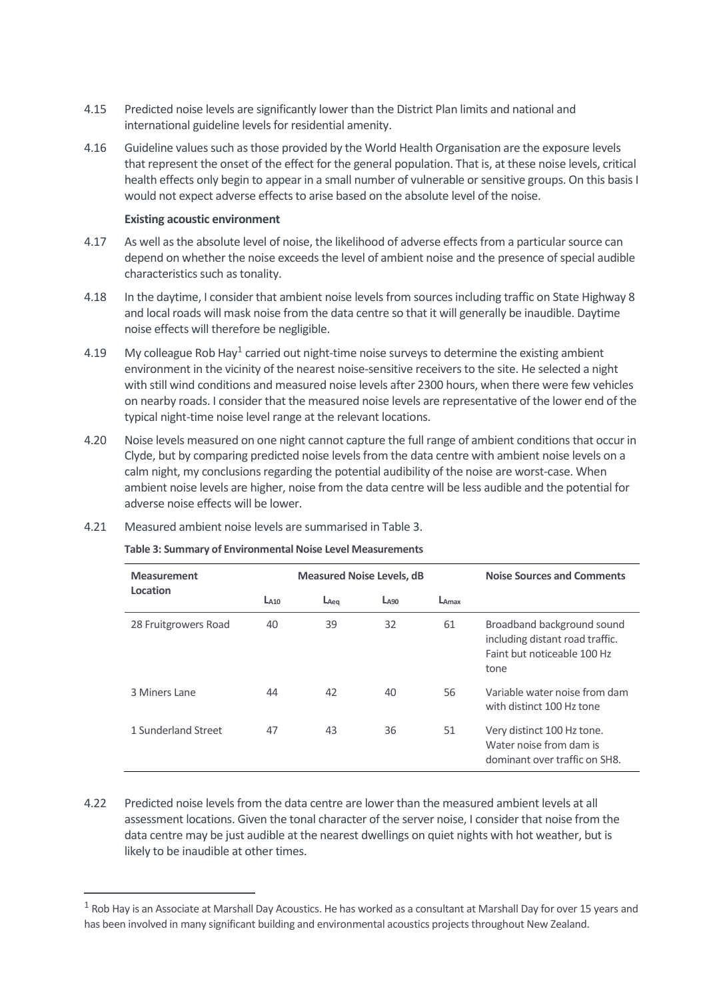- 4.15 Predicted noise levels are significantly lower than the District Plan limits and national and international guideline levels for residential amenity.
- 4.16 Guideline values such as those provided by the World Health Organisation are the exposure levels that represent the onset of the effect for the general population. That is, at these noise levels, critical health effects only begin to appear in a small number of vulnerable or sensitive groups. On this basis I would not expect adverse effects to arise based on the absolute level of the noise.

### **Existing acoustic environment**

- 4.17 As well as the absolute level of noise, the likelihood of adverse effects from a particular source can depend on whether the noise exceeds the level of ambient noise and the presence of special audible characteristics such as tonality.
- 4.18 In the daytime, I consider that ambient noise levels from sources including traffic on State Highway 8 and local roads will mask noise from the data centre so that it will generally be inaudible. Daytime noise effects will therefore be negligible.
- 4.19 My colleague Rob Hay $^1$  carried out night-time noise surveys to determine the existing ambient environment in the vicinity of the nearest noise-sensitive receivers to the site. He selected a night with still wind conditions and measured noise levels after 2300 hours, when there were few vehicles on nearby roads. I consider that the measured noise levels are representative of the lower end of the typical night-time noise level range at the relevant locations.
- 4.20 Noise levels measured on one night cannot capture the full range of ambient conditions that occur in Clyde, but by comparing predicted noise levels from the data centre with ambient noise levels on a calm night, my conclusions regarding the potential audibility of the noise are worst-case. When ambient noise levels are higher, noise from the data centre will be less audible and the potential for adverse noise effects will be lower.

| <b>Measurement</b>   |                  | <b>Measured Noise Levels, dB</b> |                  | <b>Noise Sources and Comments</b> |                                                                                                      |  |
|----------------------|------------------|----------------------------------|------------------|-----------------------------------|------------------------------------------------------------------------------------------------------|--|
| Location             | La <sub>10</sub> | $L_{Aea}$                        | L <sub>490</sub> | LAmax                             |                                                                                                      |  |
| 28 Fruitgrowers Road | 40               | 39                               | 32               | 61                                | Broadband background sound<br>including distant road traffic.<br>Faint but noticeable 100 Hz<br>tone |  |
| 3 Miners Lane        | 44               | 42                               | 40               | 56                                | Variable water noise from dam<br>with distinct 100 Hz tone                                           |  |
| 1 Sunderland Street  | 47               | 43                               | 36               | 51                                | Very distinct 100 Hz tone.<br>Water noise from dam is<br>dominant over traffic on SH8.               |  |

4.21 Measured ambient noise levels are summarised in Table 3.

#### **Table 3: Summary of Environmental Noise Level Measurements**

4.22 Predicted noise levels from the data centre are lower than the measured ambient levels at all assessment locations. Given the tonal character of the server noise, I consider that noise from the data centre may be just audible at the nearest dwellings on quiet nights with hot weather, but is likely to be inaudible at other times.

 $1$  Rob Hay is an Associate at Marshall Day Acoustics. He has worked as a consultant at Marshall Day for over 15 years and has been involved in many significant building and environmental acoustics projects throughout New Zealand.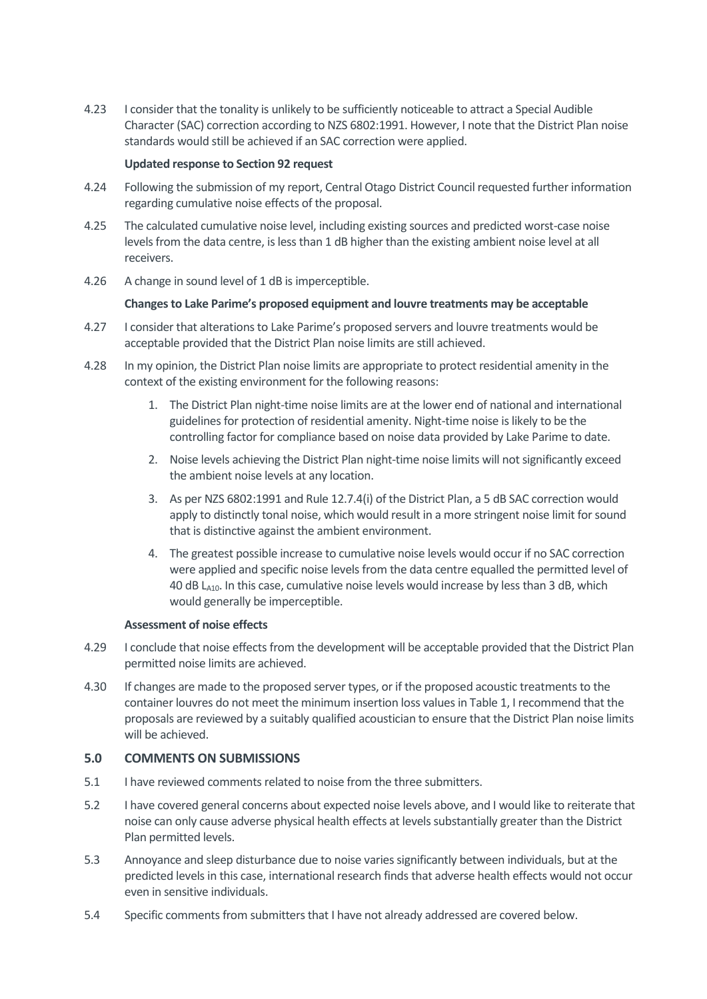4.23 I consider that the tonality is unlikely to be sufficiently noticeable to attract a Special Audible Character (SAC) correction according to NZS 6802:1991. However, I note that the District Plan noise standards would still be achieved if an SAC correction were applied.

## **Updated response to Section 92 request**

- 4.24 Following the submission of my report, Central Otago District Council requested further information regarding cumulative noise effects of the proposal.
- 4.25 The calculated cumulative noise level, including existing sources and predicted worst-case noise levels from the data centre, is less than 1 dB higher than the existing ambient noise level at all receivers.
- 4.26 A change in sound level of 1 dB is imperceptible.

## **Changes to Lake Parime's proposed equipment and louvre treatments may be acceptable**

- 4.27 I consider that alterations to Lake Parime's proposed servers and louvre treatments would be acceptable provided that the District Plan noise limits are still achieved.
- 4.28 In my opinion, the District Plan noise limits are appropriate to protect residential amenity in the context of the existing environment for the following reasons:
	- 1. The District Plan night-time noise limits are at the lower end of national and international guidelines for protection of residential amenity. Night-time noise is likely to be the controlling factor for compliance based on noise data provided by Lake Parime to date.
	- 2. Noise levels achieving the District Plan night-time noise limits will not significantly exceed the ambient noise levels at any location.
	- 3. As per NZS 6802:1991 and Rule 12.7.4(i) of the District Plan, a 5 dB SAC correction would apply to distinctly tonal noise, which would result in a more stringent noise limit for sound that is distinctive against the ambient environment.
	- 4. The greatest possible increase to cumulative noise levels would occur if no SAC correction were applied and specific noise levels from the data centre equalled the permitted level of 40 dB  $L_{A10}$ . In this case, cumulative noise levels would increase by less than 3 dB, which would generally be imperceptible.

## **Assessment of noise effects**

- 4.29 I conclude that noise effects from the development will be acceptable provided that the District Plan permitted noise limits are achieved.
- 4.30 If changes are made to the proposed server types, or if the proposed acoustic treatments to the container louvres do not meet the minimum insertion loss values in [Table 1,](#page-3-0) I recommend that the proposals are reviewed by a suitably qualified acoustician to ensure that the District Plan noise limits will be achieved.

# **5.0 COMMENTS ON SUBMISSIONS**

- 5.1 I have reviewed comments related to noise from the three submitters.
- 5.2 I have covered general concerns about expected noise levels above, and I would like to reiterate that noise can only cause adverse physical health effects at levels substantially greater than the District Plan permitted levels.
- 5.3 Annoyance and sleep disturbance due to noise varies significantly between individuals, but at the predicted levels in this case, international research finds that adverse health effects would not occur even in sensitive individuals.
- 5.4 Specific comments from submitters that I have not already addressed are covered below.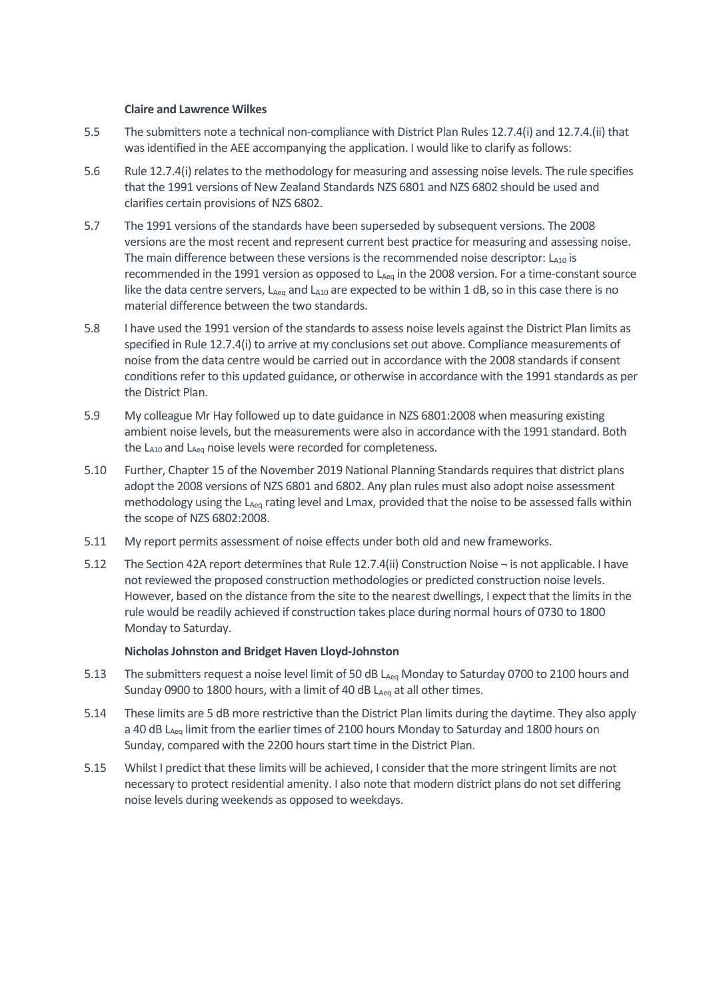#### **Claire and Lawrence Wilkes**

- 5.5 The submitters note a technical non-compliance with District Plan Rules 12.7.4(i) and 12.7.4.(ii) that was identified in the AEE accompanying the application. I would like to clarify as follows:
- 5.6 Rule 12.7.4(i) relates to the methodology for measuring and assessing noise levels. The rule specifies that the 1991 versions of New Zealand Standards NZS 6801 and NZS 6802 should be used and clarifies certain provisions of NZS 6802.
- 5.7 The 1991 versions of the standards have been superseded by subsequent versions. The 2008 versions are the most recent and represent current best practice for measuring and assessing noise. The main difference between these versions is the recommended noise descriptor:  $L_{A10}$  is recommended in the 1991 version as opposed to L<sub>Aeq</sub> in the 2008 version. For a time-constant source like the data centre servers,  $L_{Aeq}$  and  $L_{A10}$  are expected to be within 1 dB, so in this case there is no material difference between the two standards.
- 5.8 I have used the 1991 version of the standards to assess noise levels against the District Plan limits as specified in Rule 12.7.4(i) to arrive at my conclusions set out above. Compliance measurements of noise from the data centre would be carried out in accordance with the 2008 standards if consent conditions refer to this updated guidance, or otherwise in accordance with the 1991 standards as per the District Plan.
- 5.9 My colleague Mr Hay followed up to date guidance in NZS 6801:2008 when measuring existing ambient noise levels, but the measurements were also in accordance with the 1991 standard. Both the  $L_{A10}$  and  $L_{Aeq}$  noise levels were recorded for completeness.
- 5.10 Further, Chapter 15 of the November 2019 National Planning Standards requires that district plans adopt the 2008 versions of NZS 6801 and 6802. Any plan rules must also adopt noise assessment methodology using the L<sub>Aeq</sub> rating level and Lmax, provided that the noise to be assessed falls within the scope of NZS 6802:2008.
- 5.11 My report permits assessment of noise effects under both old and new frameworks.
- 5.12 The Section 42A report determines that Rule 12.7.4(ii) Construction Noise ¬ is not applicable. I have not reviewed the proposed construction methodologies or predicted construction noise levels. However, based on the distance from the site to the nearest dwellings, I expect that the limits in the rule would be readily achieved if construction takes place during normal hours of 0730 to 1800 Monday to Saturday.

## **Nicholas Johnston and Bridget Haven Lloyd-Johnston**

- 5.13 The submitters request a noise level limit of 50 dB L<sub>Aeq</sub> Monday to Saturday 0700 to 2100 hours and Sunday 0900 to 1800 hours, with a limit of 40 dB LAeq at all other times.
- 5.14 These limits are 5 dB more restrictive than the District Plan limits during the daytime. They also apply a 40 dB L<sub>Aeg</sub> limit from the earlier times of 2100 hours Monday to Saturday and 1800 hours on Sunday, compared with the 2200 hours start time in the District Plan.
- 5.15 Whilst I predict that these limits will be achieved, I consider that the more stringent limits are not necessary to protect residential amenity. I also note that modern district plans do not set differing noise levels during weekends as opposed to weekdays.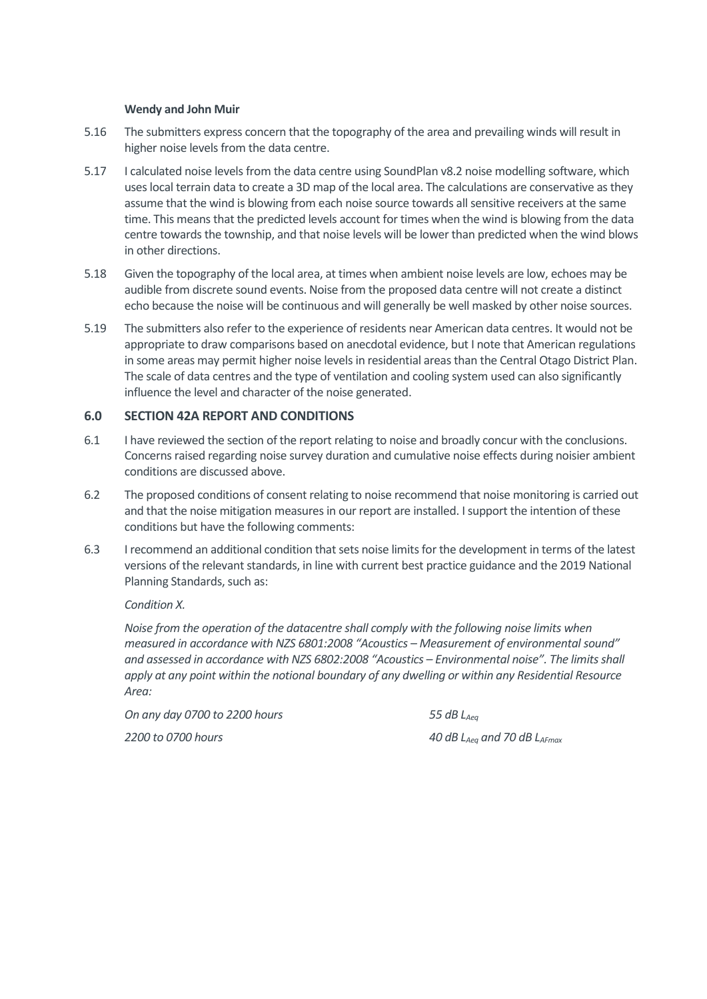#### **Wendy and John Muir**

- 5.16 The submitters express concern that the topography of the area and prevailing winds will result in higher noise levels from the data centre.
- 5.17 I calculated noise levels from the data centre using SoundPlan v8.2 noise modelling software, which uses local terrain data to create a 3D map of the local area. The calculations are conservative as they assume that the wind is blowing from each noise source towards all sensitive receivers at the same time. This means that the predicted levels account for times when the wind is blowing from the data centre towards the township, and that noise levels will be lower than predicted when the wind blows in other directions.
- 5.18 Given the topography of the local area, at times when ambient noise levels are low, echoes may be audible from discrete sound events. Noise from the proposed data centre will not create a distinct echo because the noise will be continuous and will generally be well masked by other noise sources.
- 5.19 The submitters also refer to the experience of residents near American data centres. It would not be appropriate to draw comparisons based on anecdotal evidence, but I note that American regulations in some areas may permit higher noise levels in residential areas than the Central Otago District Plan. The scale of data centres and the type of ventilation and cooling system used can also significantly influence the level and character of the noise generated.

## **6.0 SECTION 42A REPORT AND CONDITIONS**

- 6.1 I have reviewed the section of the report relating to noise and broadly concur with the conclusions. Concerns raised regarding noise survey duration and cumulative noise effects during noisier ambient conditions are discussed above.
- 6.2 The proposed conditions of consent relating to noise recommend that noise monitoring is carried out and that the noise mitigation measures in our report are installed. I support the intention of these conditions but have the following comments:
- 6.3 I recommend an additional condition that sets noise limits for the development in terms of the latest versions of the relevant standards, in line with current best practice guidance and the 2019 National Planning Standards, such as:

*Condition X.* 

*Noise from the operation of the datacentre shall comply with the following noise limits when measured in accordance with NZS 6801:2008 "Acoustics – Measurement of environmental sound" and assessed in accordance with NZS 6802:2008 "Acoustics – Environmental noise". The limits shall apply at any point within the notional boundary of any dwelling or within any Residential Resource Area:*

*On any day 0700 to 2200 hours 55 dB LAeq*

*2200 to 0700 hours 40 dB LAeq and 70 dB LAFmax*